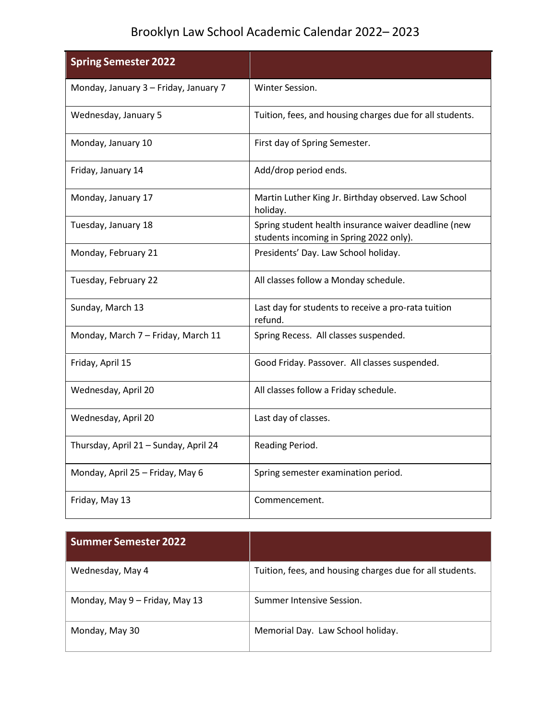## Brooklyn Law School Academic Calendar 2022– 2023

| <b>Spring Semester 2022</b>           |                                                                                                 |
|---------------------------------------|-------------------------------------------------------------------------------------------------|
| Monday, January 3 - Friday, January 7 | Winter Session.                                                                                 |
| Wednesday, January 5                  | Tuition, fees, and housing charges due for all students.                                        |
| Monday, January 10                    | First day of Spring Semester.                                                                   |
| Friday, January 14                    | Add/drop period ends.                                                                           |
| Monday, January 17                    | Martin Luther King Jr. Birthday observed. Law School<br>holiday.                                |
| Tuesday, January 18                   | Spring student health insurance waiver deadline (new<br>students incoming in Spring 2022 only). |
| Monday, February 21                   | Presidents' Day. Law School holiday.                                                            |
| Tuesday, February 22                  | All classes follow a Monday schedule.                                                           |
| Sunday, March 13                      | Last day for students to receive a pro-rata tuition<br>refund.                                  |
| Monday, March 7 - Friday, March 11    | Spring Recess. All classes suspended.                                                           |
| Friday, April 15                      | Good Friday. Passover. All classes suspended.                                                   |
| Wednesday, April 20                   | All classes follow a Friday schedule.                                                           |
| Wednesday, April 20                   | Last day of classes.                                                                            |
| Thursday, April 21 - Sunday, April 24 | Reading Period.                                                                                 |
| Monday, April 25 - Friday, May 6      | Spring semester examination period.                                                             |
| Friday, May 13                        | Commencement.                                                                                   |

| <b>Summer Semester 2022</b>    |                                                          |
|--------------------------------|----------------------------------------------------------|
| Wednesday, May 4               | Tuition, fees, and housing charges due for all students. |
| Monday, May 9 - Friday, May 13 | Summer Intensive Session.                                |
| Monday, May 30                 | Memorial Day. Law School holiday.                        |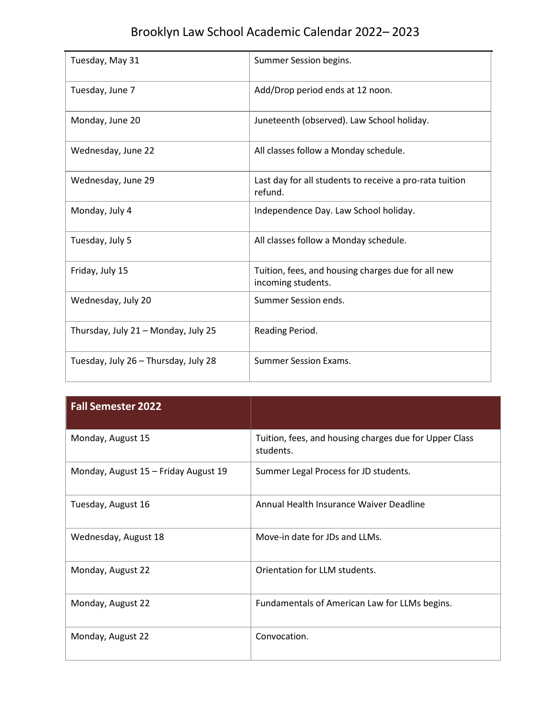## Brooklyn Law School Academic Calendar 2022– 2023

| Tuesday, May 31                      | Summer Session begins.                                                   |
|--------------------------------------|--------------------------------------------------------------------------|
| Tuesday, June 7                      | Add/Drop period ends at 12 noon.                                         |
| Monday, June 20                      | Juneteenth (observed). Law School holiday.                               |
| Wednesday, June 22                   | All classes follow a Monday schedule.                                    |
| Wednesday, June 29                   | Last day for all students to receive a pro-rata tuition<br>refund.       |
| Monday, July 4                       | Independence Day. Law School holiday.                                    |
| Tuesday, July 5                      | All classes follow a Monday schedule.                                    |
| Friday, July 15                      | Tuition, fees, and housing charges due for all new<br>incoming students. |
| Wednesday, July 20                   | Summer Session ends.                                                     |
| Thursday, July 21 - Monday, July 25  | Reading Period.                                                          |
| Tuesday, July 26 - Thursday, July 28 | <b>Summer Session Exams.</b>                                             |

| <b>Fall Semester 2022</b>            |                                                                     |
|--------------------------------------|---------------------------------------------------------------------|
| Monday, August 15                    | Tuition, fees, and housing charges due for Upper Class<br>students. |
| Monday, August 15 - Friday August 19 | Summer Legal Process for JD students.                               |
| Tuesday, August 16                   | Annual Health Insurance Waiver Deadline                             |
| Wednesday, August 18                 | Move-in date for JDs and LLMs.                                      |
| Monday, August 22                    | Orientation for LLM students.                                       |
| Monday, August 22                    | Fundamentals of American Law for LLMs begins.                       |
| Monday, August 22                    | Convocation.                                                        |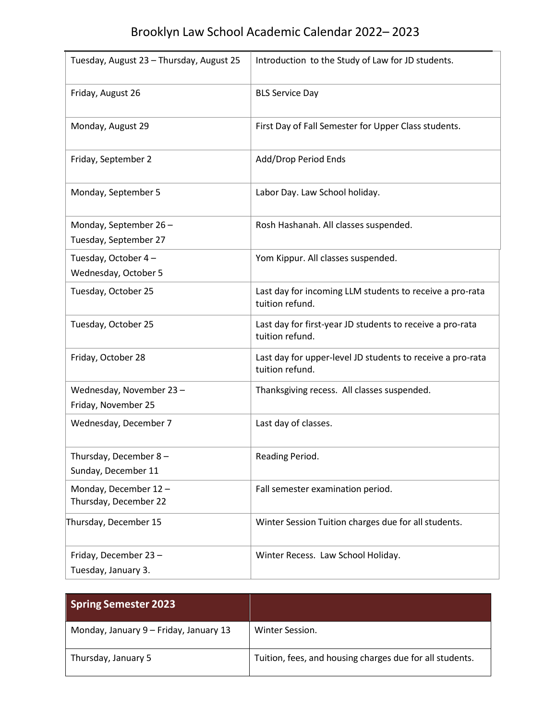| Tuesday, August 23 - Thursday, August 25       | Introduction to the Study of Law for JD students.                             |
|------------------------------------------------|-------------------------------------------------------------------------------|
| Friday, August 26                              | <b>BLS Service Day</b>                                                        |
| Monday, August 29                              | First Day of Fall Semester for Upper Class students.                          |
| Friday, September 2                            | Add/Drop Period Ends                                                          |
| Monday, September 5                            | Labor Day. Law School holiday.                                                |
| Monday, September 26-<br>Tuesday, September 27 | Rosh Hashanah. All classes suspended.                                         |
| Tuesday, October 4-<br>Wednesday, October 5    | Yom Kippur. All classes suspended.                                            |
| Tuesday, October 25                            | Last day for incoming LLM students to receive a pro-rata<br>tuition refund.   |
| Tuesday, October 25                            | Last day for first-year JD students to receive a pro-rata<br>tuition refund.  |
| Friday, October 28                             | Last day for upper-level JD students to receive a pro-rata<br>tuition refund. |
| Wednesday, November 23-<br>Friday, November 25 | Thanksgiving recess. All classes suspended.                                   |
| Wednesday, December 7                          | Last day of classes.                                                          |
| Thursday, December 8-<br>Sunday, December 11   | Reading Period.                                                               |
| Monday, December 12-<br>Thursday, December 22  | Fall semester examination period.                                             |
| Thursday, December 15                          | Winter Session Tuition charges due for all students.                          |
| Friday, December 23-<br>Tuesday, January 3.    | Winter Recess. Law School Holiday.                                            |

| <b>Spring Semester 2023</b>            |                                                          |
|----------------------------------------|----------------------------------------------------------|
| Monday, January 9 - Friday, January 13 | Winter Session.                                          |
| Thursday, January 5                    | Tuition, fees, and housing charges due for all students. |